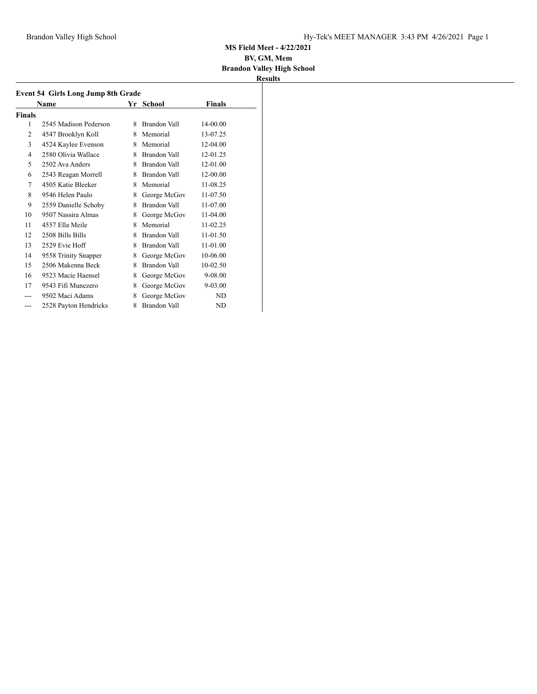|                | Event 54 Girls Long Jump 8th Grade<br>Name |   | Yr School    | Finals     |  |
|----------------|--------------------------------------------|---|--------------|------------|--|
| Finals         |                                            |   |              |            |  |
| 1              | 2545 Madison Pederson                      | 8 | Brandon Vall | 14-00.00   |  |
| 2              | 4547 Brooklyn Koll                         | 8 | Memorial     | 13-07.25   |  |
| 3              | 4524 Kaylee Evenson                        | 8 | Memorial     | $12-04.00$ |  |
| $\overline{4}$ | 2580 Olivia Wallace                        | 8 | Brandon Vall | 12-01.25   |  |
| 5              | 2502 Ava Anders                            | 8 | Brandon Vall | 12-01.00   |  |
| 6              | 2543 Reagan Morrell                        | 8 | Brandon Vall | 12-00.00   |  |
| 7              | 4505 Katie Bleeker                         | 8 | Memorial     | 11-08.25   |  |
| 8              | 9546 Helen Paulo                           | 8 | George McGov | 11-07.50   |  |
| 9              | 2559 Danielle Schoby                       | 8 | Brandon Vall | 11-07.00   |  |
| 10             | 9507 Nassira Almas                         | 8 | George McGov | 11-04.00   |  |
| 11             | 4557 Ella Meile                            | 8 | Memorial     | 11-02.25   |  |
| 12             | 2508 Bills Bills                           | 8 | Brandon Vall | 11-01.50   |  |
| 13             | 2529 Evie Hoff                             | 8 | Brandon Vall | 11-01.00   |  |
| 14             | 9558 Trinity Snapper                       | 8 | George McGov | 10-06.00   |  |
| 15             | 2506 Makenna Beck                          | 8 | Brandon Vall | 10-02.50   |  |
| 16             | 9523 Macie Haensel                         | 8 | George McGov | 9-08.00    |  |
| 17             | 9543 Fifi Munezero                         | 8 | George McGov | 9-03.00    |  |
|                | 9502 Maci Adams                            | 8 | George McGov | ND         |  |
| ---            | 2528 Payton Hendricks                      | 8 | Brandon Vall | ND         |  |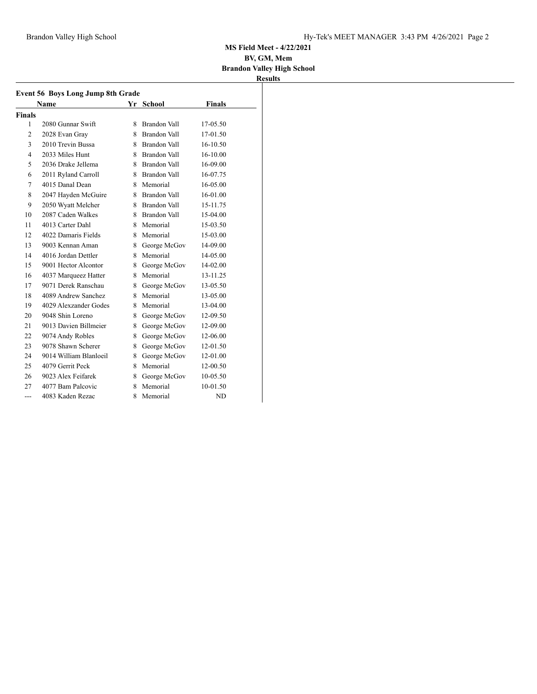|                | <b>Name</b>            | Yr | School              | <b>Finals</b> |
|----------------|------------------------|----|---------------------|---------------|
| Finals         |                        |    |                     |               |
| 1              | 2080 Gunnar Swift      | 8  | Brandon Vall        | 17-05.50      |
| $\overline{c}$ | 2028 Evan Gray         | 8. | Brandon Vall        | 17-01.50      |
| 3              | 2010 Trevin Bussa      | 8. | <b>Brandon Vall</b> | 16-10.50      |
| 4              | 2033 Miles Hunt        |    | 8 Brandon Vall      | $16 - 10.00$  |
| 5              | 2036 Drake Jellema     |    | 8 Brandon Vall      | 16-09.00      |
| 6              | 2011 Ryland Carroll    |    | 8 Brandon Vall      | 16-07.75      |
| 7              | 4015 Danal Dean        |    | 8 Memorial          | 16-05.00      |
| 8              | 2047 Hayden McGuire    |    | 8 Brandon Vall      | 16-01.00      |
| 9              | 2050 Wyatt Melcher     |    | 8 Brandon Vall      | 15-11.75      |
| 10             | 2087 Caden Walkes      |    | 8 Brandon Vall      | 15-04.00      |
| 11             | 4013 Carter Dahl       |    | 8 Memorial          | 15-03.50      |
| 12             | 4022 Damaris Fields    | 8  | Memorial            | 15-03.00      |
| 13             | 9003 Kennan Aman       | 8  | George McGov        | 14-09.00      |
| 14             | 4016 Jordan Dettler    | 8. | Memorial            | 14-05.00      |
| 15             | 9001 Hector Alcontor   | 8  | George McGov        | 14-02.00      |
| 16             | 4037 Marqueez Hatter   | 8. | Memorial            | 13-11.25      |
| 17             | 9071 Derek Ranschau    | 8  | George McGov        | 13-05.50      |
| 18             | 4089 Andrew Sanchez    | 8. | Memorial            | 13-05.00      |
| 19             | 4029 Alexzander Godes  | 8. | Memorial            | 13-04.00      |
| 20             | 9048 Shin Loreno       | 8  | George McGov        | 12-09.50      |
| 21             | 9013 Davien Billmeier  | 8. | George McGov        | 12-09.00      |
| 22             | 9074 Andy Robles       | 8. | George McGov        | 12-06.00      |
| 23             | 9078 Shawn Scherer     | 8  | George McGov        | 12-01.50      |
| 24             | 9014 William Blanloeil | 8  | George McGov        | 12-01.00      |
| 25             | 4079 Gerrit Peck       | 8. | Memorial            | 12-00.50      |
| 26             | 9023 Alex Feifarek     | 8  | George McGov        | 10-05.50      |
| 27             | 4077 Bam Palcovic      | 8  | Memorial            | 10-01.50      |
| $- - -$        | 4083 Kaden Rezac       | 8  | Memorial            | <b>ND</b>     |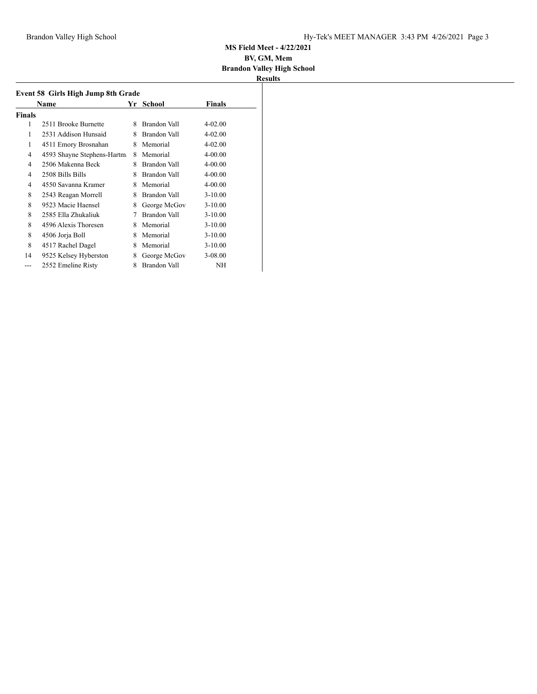| Event 58 Girls High Jump 8th Grade |                            |    |              |             |  |
|------------------------------------|----------------------------|----|--------------|-------------|--|
|                                    | Name                       | Yr | School       | Finals      |  |
| <b>Finals</b>                      |                            |    |              |             |  |
| 1                                  | 2511 Brooke Burnette       | 8  | Brandon Vall | 4-02.00     |  |
| 1                                  | 2531 Addison Hunsaid       | 8  | Brandon Vall | 4-02.00     |  |
| 1                                  | 4511 Emory Brosnahan       | 8  | Memorial     | $4 - 02.00$ |  |
| 4                                  | 4593 Shayne Stephens-Hartm | 8  | Memorial     | $4 - 00.00$ |  |
| 4                                  | 2506 Makenna Beck          | 8  | Brandon Vall | $4 - 00.00$ |  |
| 4                                  | 2508 Bills Bills           | 8  | Brandon Vall | $4 - 00.00$ |  |
| 4                                  | 4550 Savanna Kramer        | 8  | Memorial     | $4 - 00.00$ |  |
| 8                                  | 2543 Reagan Morrell        | 8  | Brandon Vall | $3 - 10.00$ |  |
| 8                                  | 9523 Macie Haensel         | 8  | George McGov | $3 - 10.00$ |  |
| 8                                  | 2585 Ella Zhukaliuk        | 7  | Brandon Vall | $3 - 10.00$ |  |
| 8                                  | 4596 Alexis Thoresen       | 8  | Memorial     | $3 - 10.00$ |  |
| 8                                  | 4506 Jorja Boll            | 8  | Memorial     | $3 - 10.00$ |  |
| 8                                  | 4517 Rachel Dagel          | 8  | Memorial     | $3 - 10.00$ |  |
| 14                                 | 9525 Kelsey Hyberston      | 8  | George McGov | 3-08.00     |  |
| ---                                | 2552 Emeline Risty         | 8  | Brandon Vall | NΗ          |  |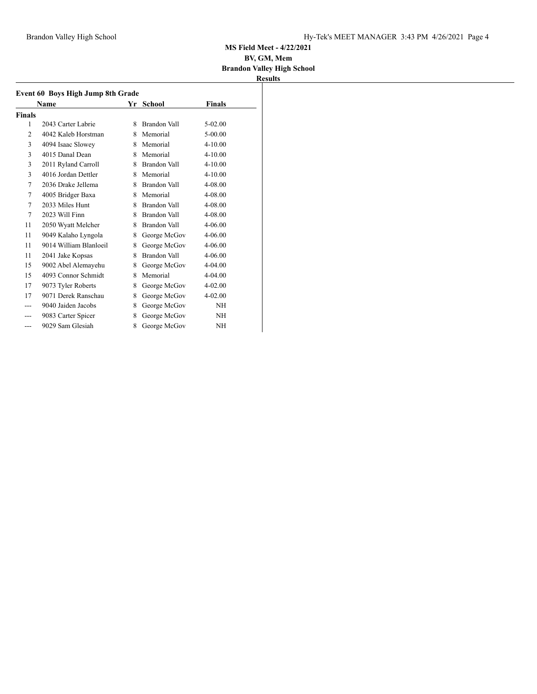| Event 60 Boys High Jump 8th Grade |                        |   |                     |             |  |
|-----------------------------------|------------------------|---|---------------------|-------------|--|
|                                   | Name                   |   | Yr School           | Finals      |  |
| Finals                            |                        |   |                     |             |  |
| 1                                 | 2043 Carter Labrie     | 8 | <b>Brandon Vall</b> | $5-02.00$   |  |
| 2                                 | 4042 Kaleb Horstman    | 8 | Memorial            | $5 - 00.00$ |  |
| 3                                 | 4094 Isaac Slowey      | 8 | Memorial            | $4 - 10.00$ |  |
| 3                                 | 4015 Danal Dean        | 8 | Memorial            | $4 - 10.00$ |  |
| 3                                 | 2011 Ryland Carroll    | 8 | Brandon Vall        | $4 - 10.00$ |  |
| 3                                 | 4016 Jordan Dettler    | 8 | Memorial            | $4 - 10.00$ |  |
| 7                                 | 2036 Drake Jellema     | 8 | Brandon Vall        | 4-08.00     |  |
| 7                                 | 4005 Bridger Baxa      | 8 | Memorial            | 4-08.00     |  |
| 7                                 | 2033 Miles Hunt        | 8 | <b>Brandon Vall</b> | 4-08.00     |  |
| 7                                 | 2023 Will Finn         | 8 | Brandon Vall        | 4-08.00     |  |
| 11                                | 2050 Wyatt Melcher     | 8 | Brandon Vall        | $4 - 06.00$ |  |
| 11                                | 9049 Kalaho Lyngola    | 8 | George McGov        | 4-06.00     |  |
| 11                                | 9014 William Blanloeil | 8 | George McGov        | $4 - 06.00$ |  |
| 11                                | 2041 Jake Kopsas       | 8 | Brandon Vall        | 4-06.00     |  |
| 15                                | 9002 Abel Alemayehu    | 8 | George McGov        | 4-04.00     |  |
| 15                                | 4093 Connor Schmidt    | 8 | Memorial            | 4-04.00     |  |
| 17                                | 9073 Tyler Roberts     | 8 | George McGov        | $4 - 02.00$ |  |
| 17                                | 9071 Derek Ranschau    | 8 | George McGov        | $4 - 02.00$ |  |
|                                   | 9040 Jaiden Jacobs     | 8 | George McGov        | <b>NH</b>   |  |
|                                   | 9083 Carter Spicer     | 8 | George McGov        | <b>NH</b>   |  |
| ---                               | 9029 Sam Glesiah       | 8 | George McGov        | NΗ          |  |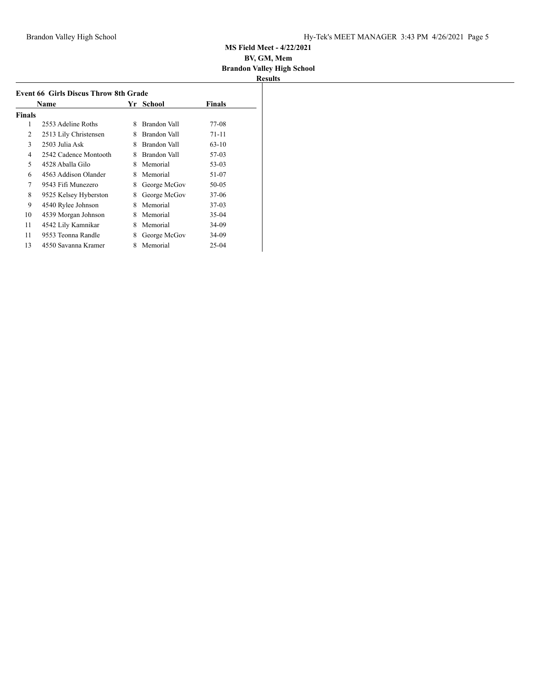|        | Name                  | Yr | School       | <b>Finals</b> |  |
|--------|-----------------------|----|--------------|---------------|--|
| Finals |                       |    |              |               |  |
| 1      | 2553 Adeline Roths    | 8  | Brandon Vall | 77-08         |  |
| 2      | 2513 Lily Christensen | 8  | Brandon Vall | $71 - 11$     |  |
| 3      | 2503 Julia Ask        | 8  | Brandon Vall | $63 - 10$     |  |
| 4      | 2542 Cadence Montooth | 8  | Brandon Vall | 57-03         |  |
| 5      | 4528 Aballa Gilo      | 8  | Memorial     | 53-03         |  |
| 6      | 4563 Addison Olander  | 8  | Memorial     | 51-07         |  |
| 7      | 9543 Fifi Munezero    | 8  | George McGov | $50 - 05$     |  |
| 8      | 9525 Kelsey Hyberston | 8  | George McGov | $37-06$       |  |
| 9      | 4540 Rylee Johnson    | 8  | Memorial     | $37-03$       |  |
| 10     | 4539 Morgan Johnson   | 8  | Memorial     | $35-04$       |  |
| 11     | 4542 Lily Kamnikar    | 8  | Memorial     | 34-09         |  |
| 11     | 9553 Teonna Randle    | 8  | George McGov | 34-09         |  |
| 13     | 4550 Savanna Kramer   | 8  | Memorial     | $25 - 04$     |  |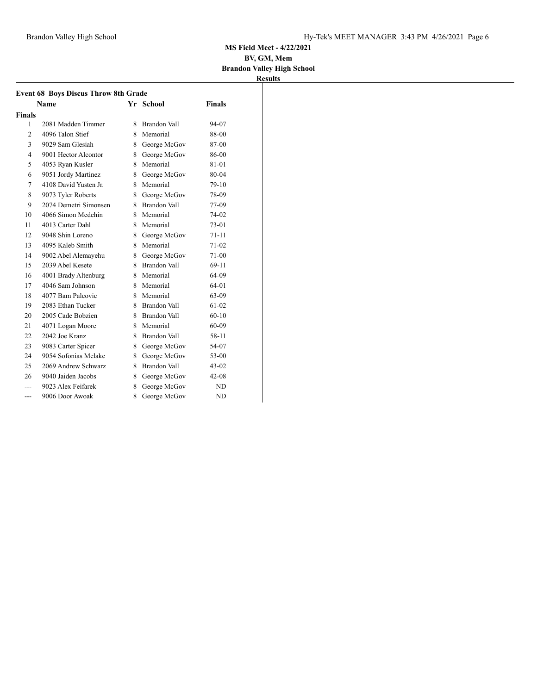| <b>Event 68 Boys Discus Throw 8th Grade</b> |                       |    |                     |           |  |
|---------------------------------------------|-----------------------|----|---------------------|-----------|--|
|                                             | Name                  |    | Yr School           | Finals    |  |
| Finals                                      |                       |    |                     |           |  |
| 1                                           | 2081 Madden Timmer    | 8  | <b>Brandon Vall</b> | 94-07     |  |
| 2                                           | 4096 Talon Stief      | 8  | Memorial            | 88-00     |  |
| 3                                           | 9029 Sam Glesiah      | 8  | George McGov        | 87-00     |  |
| $\overline{\mathcal{L}}$                    | 9001 Hector Alcontor  | 8  | George McGov        | 86-00     |  |
| 5                                           | 4053 Ryan Kusler      | 8. | Memorial            | $81 - 01$ |  |
| 6                                           | 9051 Jordy Martinez   | 8  | George McGov        | 80-04     |  |
| 7                                           | 4108 David Yusten Jr. | 8. | Memorial            | 79-10     |  |
| 8                                           | 9073 Tyler Roberts    | 8  | George McGov        | 78-09     |  |
| 9                                           | 2074 Demetri Simonsen | 8  | <b>Brandon Vall</b> | 77-09     |  |
| 10                                          | 4066 Simon Medehin    |    | 8 Memorial          | 74-02     |  |
| 11                                          | 4013 Carter Dahl      | 8. | Memorial            | $73 - 01$ |  |
| 12                                          | 9048 Shin Loreno      |    | 8 George McGov      | 71-11     |  |
| 13                                          | 4095 Kaleb Smith      | 8  | Memorial            | $71 - 02$ |  |
| 14                                          | 9002 Abel Alemayehu   | 8  | George McGov        | $71-00$   |  |
| 15                                          | 2039 Abel Kesete      | 8  | <b>Brandon Vall</b> | 69-11     |  |
| 16                                          | 4001 Brady Altenburg  | 8. | Memorial            | 64-09     |  |
| 17                                          | 4046 Sam Johnson      |    | 8 Memorial          | 64-01     |  |
| 18                                          | 4077 Bam Palcovic     |    | 8 Memorial          | 63-09     |  |
| 19                                          | 2083 Ethan Tucker     |    | 8 Brandon Vall      | 61-02     |  |
| 20                                          | 2005 Cade Bobzien     |    | 8 Brandon Vall      | $60 - 10$ |  |
| 21                                          | 4071 Logan Moore      |    | 8 Memorial          | 60-09     |  |
| 22                                          | 2042 Joe Kranz        | 8. | Brandon Vall        | 58-11     |  |
| 23                                          | 9083 Carter Spicer    |    | 8 George McGov      | 54-07     |  |
| 24                                          | 9054 Sofonias Melake  | 8  | George McGov        | 53-00     |  |
| 25                                          | 2069 Andrew Schwarz   | 8  | Brandon Vall        | $43 - 02$ |  |
| 26                                          | 9040 Jaiden Jacobs    | 8  | George McGov        | $42 - 08$ |  |
|                                             | 9023 Alex Feifarek    | 8  | George McGov        | ND        |  |
|                                             | 9006 Door Awoak       | 8  | George McGov        | <b>ND</b> |  |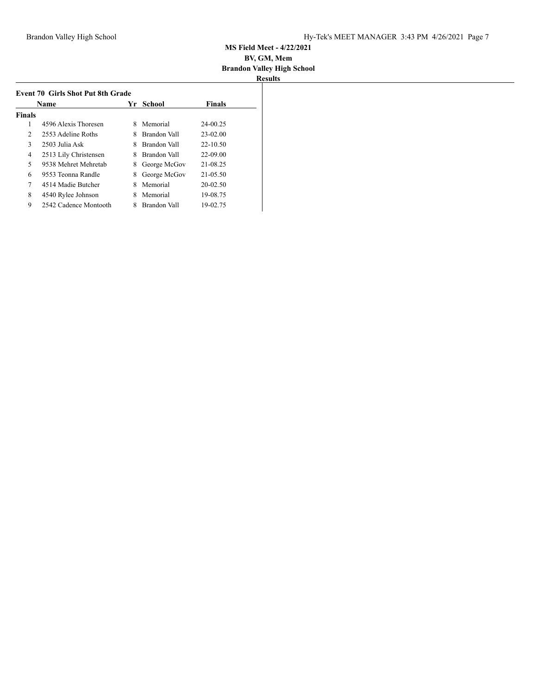| <b>Event 70 Girls Shot Put 8th Grade</b> |                       |    |              |               |  |  |
|------------------------------------------|-----------------------|----|--------------|---------------|--|--|
|                                          | Name                  | Yr | School       | <b>Finals</b> |  |  |
| Finals                                   |                       |    |              |               |  |  |
| 1                                        | 4596 Alexis Thoresen  | 8  | Memorial     | 24-00.25      |  |  |
| 2                                        | 2553 Adeline Roths    | 8  | Brandon Vall | $23 - 02.00$  |  |  |
| 3                                        | 2503 Julia Ask        | 8  | Brandon Vall | $22 - 10.50$  |  |  |
| 4                                        | 2513 Lily Christensen | 8  | Brandon Vall | 22-09.00      |  |  |
| 5                                        | 9538 Mehret Mehretab  | 8  | George McGov | 21-08.25      |  |  |
| 6                                        | 9553 Teonna Randle    | 8  | George McGov | 21-05.50      |  |  |
| 7                                        | 4514 Madie Butcher    |    | Memorial     | 20-02.50      |  |  |
| 8                                        | 4540 Rylee Johnson    |    | Memorial     | 19-08.75      |  |  |
| 9                                        | 2542 Cadence Montooth | 8  | Brandon Vall | 19-02.75      |  |  |